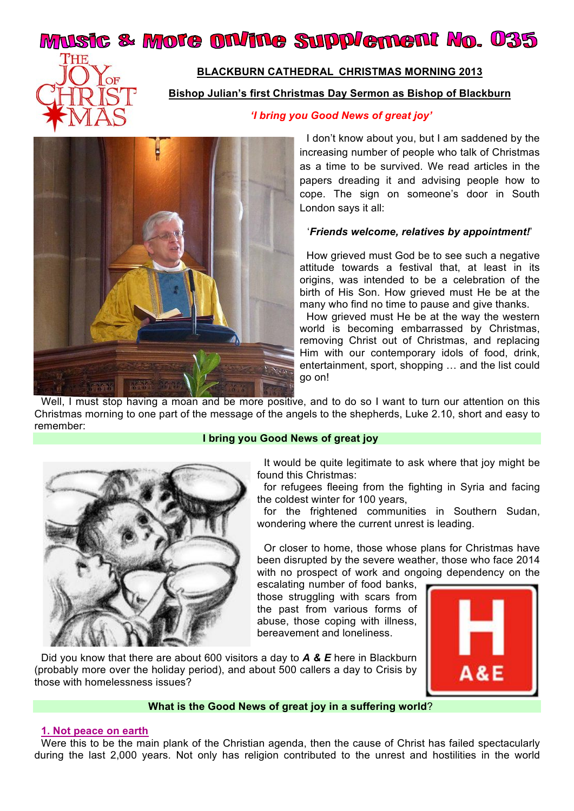# Music & More on/ine Supplement No. 035



## **BLACKBURN CATHEDRAL CHRISTMAS MORNING 2013**

**Bishop Julian's first Christmas Day Sermon as Bishop of Blackburn**



#### *'I bring you Good News of great joy'*

I don't know about you, but I am saddened by the increasing number of people who talk of Christmas as a time to be survived. We read articles in the papers dreading it and advising people how to cope. The sign on someone's door in South London says it all:

#### '*Friends welcome, relatives by appointment!*'

How grieved must God be to see such a negative attitude towards a festival that, at least in its origins, was intended to be a celebration of the birth of His Son. How grieved must He be at the many who find no time to pause and give thanks.

How grieved must He be at the way the western world is becoming embarrassed by Christmas, removing Christ out of Christmas, and replacing Him with our contemporary idols of food, drink, entertainment, sport, shopping … and the list could go on!

Well, I must stop having a moan and be more positive, and to do so I want to turn our attention on this Christmas morning to one part of the message of the angels to the shepherds, Luke 2.10, short and easy to remember:

#### **I bring you Good News of great joy**



It would be quite legitimate to ask where that joy might be found this Christmas:

for refugees fleeing from the fighting in Syria and facing the coldest winter for 100 years,

for the frightened communities in Southern Sudan, wondering where the current unrest is leading.

Or closer to home, those whose plans for Christmas have been disrupted by the severe weather, those who face 2014 with no prospect of work and ongoing dependency on the

escalating number of food banks, those struggling with scars from the past from various forms of abuse, those coping with illness, bereavement and loneliness.



Did you know that there are about 600 visitors a day to *A & E* here in Blackburn (probably more over the holiday period), and about 500 callers a day to Crisis by those with homelessness issues?

## **What is the Good News of great joy in a suffering world**?

#### **1. Not peace on earth**

Were this to be the main plank of the Christian agenda, then the cause of Christ has failed spectacularly during the last 2,000 years. Not only has religion contributed to the unrest and hostilities in the world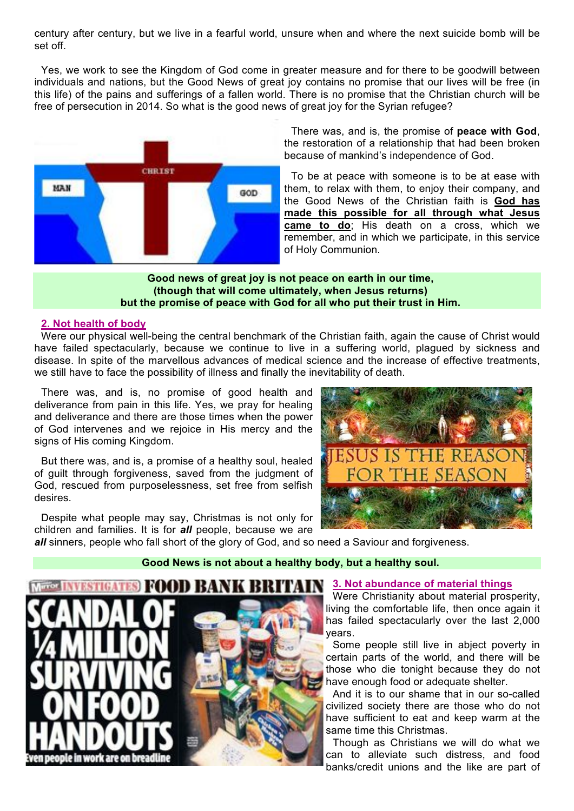century after century, but we live in a fearful world, unsure when and where the next suicide bomb will be set off.

Yes, we work to see the Kingdom of God come in greater measure and for there to be goodwill between individuals and nations, but the Good News of great joy contains no promise that our lives will be free (in this life) of the pains and sufferings of a fallen world. There is no promise that the Christian church will be free of persecution in 2014. So what is the good news of great joy for the Syrian refugee?



There was, and is, the promise of **peace with God**, the restoration of a relationship that had been broken because of mankind's independence of God.

To be at peace with someone is to be at ease with them, to relax with them, to enjoy their company, and the Good News of the Christian faith is **God has made this possible for all through what Jesus came to do**; His death on a cross, which we remember, and in which we participate, in this service of Holy Communion.

#### **Good news of great joy is not peace on earth in our time, (though that will come ultimately, when Jesus returns) but the promise of peace with God for all who put their trust in Him.**

## **2. Not health of body**

Were our physical well-being the central benchmark of the Christian faith, again the cause of Christ would have failed spectacularly, because we continue to live in a suffering world, plagued by sickness and disease. In spite of the marvellous advances of medical science and the increase of effective treatments, we still have to face the possibility of illness and finally the inevitability of death.

There was, and is, no promise of good health and deliverance from pain in this life. Yes, we pray for healing and deliverance and there are those times when the power of God intervenes and we rejoice in His mercy and the signs of His coming Kingdom.

But there was, and is, a promise of a healthy soul, healed of guilt through forgiveness, saved from the judgment of God, rescued from purposelessness, set free from selfish desires.

Despite what people may say, Christmas is not only for children and families. It is for *all* people, because we are



all sinners, people who fall short of the glory of God, and so need a Saviour and forgiveness.

## **Good News is not about a healthy body, but a healthy soul.**



#### **3. Not abundance of material things**

Were Christianity about material prosperity, living the comfortable life, then once again it has failed spectacularly over the last 2,000 years.

Some people still live in abject poverty in certain parts of the world, and there will be those who die tonight because they do not have enough food or adequate shelter.

And it is to our shame that in our so-called civilized society there are those who do not have sufficient to eat and keep warm at the same time this Christmas.

Though as Christians we will do what we can to alleviate such distress, and food banks/credit unions and the like are part of